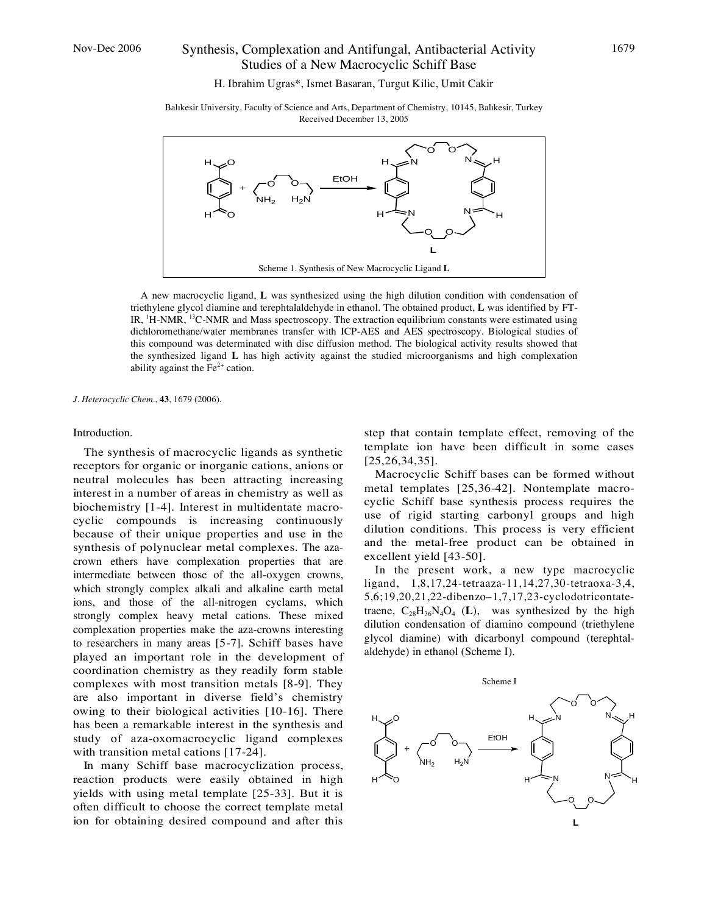# Nov-Dec 2006 Synthesis, Complexation and Antifungal, Antibacterial Activity Studies of a New Macrocyclic Schiff Base

H. Ibrahim Ugras\*, Ismet Basaran, Turgut Kilic, Umit Cakir

Balıkesir University, Faculty of Science and Arts, Department of Chemistry, 10145, Balıkesir, Turkey Received December 13, 2005



A new macrocyclic ligand, **L** was synthesized using the high dilution condition with condensation of triethylene glycol diamine and terephtalaldehyde in ethanol. The obtained product, **L** was identified by FT-IR, <sup>1</sup>H-NMR, <sup>13</sup>C-NMR and Mass spectroscopy. The extraction equilibrium constants were estimated using dichloromethane/water membranes transfer with ICP-AES and AES spectroscopy. Biological studies of this compound was determinated with disc diffusion method. The biological activity results showed that the synthesized ligand **L** has high activity against the studied microorganisms and high complexation ability against the  $Fe<sup>2+</sup>$  cation.

*J. Heterocyclic Chem.*, **43**, 1679 (2006).

## Introduction.

The synthesis of macrocyclic ligands as synthetic receptors for organic or inorganic cations, anions or neutral molecules has been attracting increasing interest in a number of areas in chemistry as well as biochemistry [1-4]. Interest in multidentate macrocyclic compounds is increasing continuously because of their unique properties and use in the synthesis of polynuclear metal complexes. The azacrown ethers have complexation properties that are intermediate between those of the all-oxygen crowns, which strongly complex alkali and alkaline earth metal ions, and those of the all-nitrogen cyclams, which strongly complex heavy metal cations. These mixed complexation properties make the aza-crowns interesting to researchers in many areas [5-7]. Schiff bases have played an important role in the development of coordination chemistry as they readily form stable complexes with most transition metals [8-9]. They are also important in diverse field's chemistry owing to their biological activities [10-16]. There has been a remarkable interest in the synthesis and study of aza-oxomacrocyclic ligand complexes with transition metal cations [17-24].

In many Schiff base macrocyclization process, reaction products were easily obtained in high yields with using metal template [25-33]. But it is often difficult to choose the correct template metal ion for obtaining desired compound and after this

step that contain template effect, removing of the template ion have been difficult in some cases [25,26,34,35].

Macrocyclic Schiff bases can be formed without metal templates [25,36-42]. Nontemplate macrocyclic Schiff base synthesis process requires the use of rigid starting carbonyl groups and high dilution conditions. This process is very efficient and the metal-free product can be obtained in excellent yield [43-50].

In the present work, a new type macrocyclic ligand, 1,8,17,24-tetraaza-11,14,27,30-tetraoxa-3,4, 5,6;19,20,21,22-dibenzo–1,7,17,23-cyclodotricontatetraene,  $C_{28}H_{36}N_4O_4$  (L), was synthesized by the high dilution condensation of diamino compound (triethylene glycol diamine) with dicarbonyl compound (terephtalaldehyde) in ethanol (Scheme I).

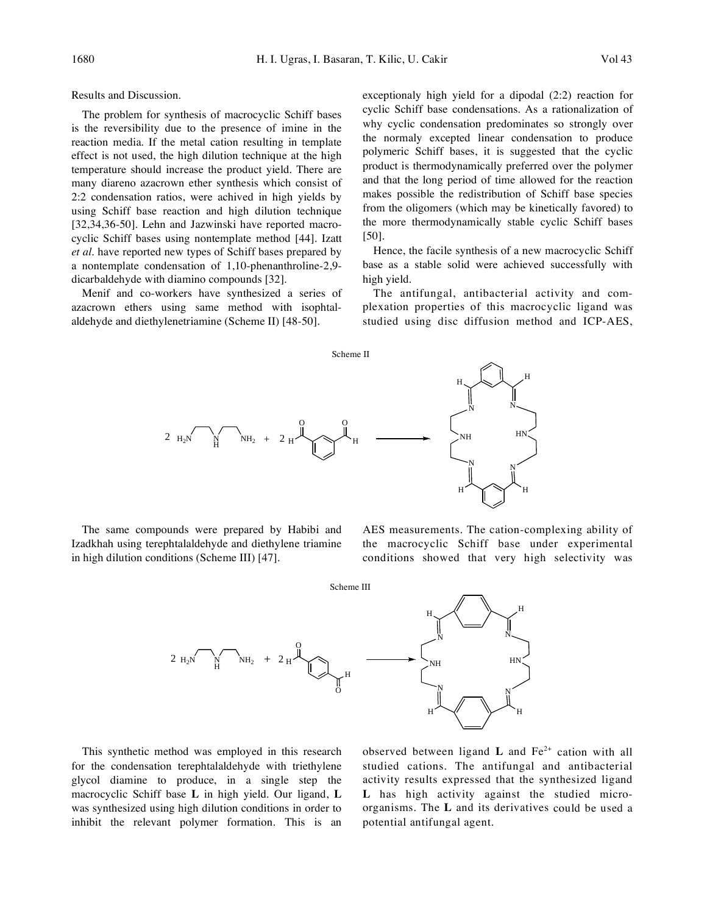Results and Discussion.

The problem for synthesis of macrocyclic Schiff bases is the reversibility due to the presence of imine in the reaction media. If the metal cation resulting in template effect is not used, the high dilution technique at the high temperature should increase the product yield. There are many diareno azacrown ether synthesis which consist of 2:2 condensation ratios, were achived in high yields by using Schiff base reaction and high dilution technique [32,34,36-50]. Lehn and Jazwinski have reported macrocyclic Schiff bases using nontemplate method [44]. Izatt *et al.* have reported new types of Schiff bases prepared by a nontemplate condensation of 1,10-phenanthroline-2,9 dicarbaldehyde with diamino compounds [32].

Menif and co-workers have synthesized a series of azacrown ethers using same method with isophtalaldehyde and diethylenetriamine (Scheme II) [48-50].

exceptionaly high yield for a dipodal (2:2) reaction for cyclic Schiff base condensations. As a rationalization of why cyclic condensation predominates so strongly over the normaly excepted linear condensation to produce polymeric Schiff bases, it is suggested that the cyclic product is thermodynamically preferred over the polymer and that the long period of time allowed for the reaction makes possible the redistribution of Schiff base species from the oligomers (which may be kinetically favored) to the more thermodynamically stable cyclic Schiff bases [50].

Hence, the facile synthesis of a new macrocyclic Schiff base as a stable solid were achieved successfully with high yield.

The antifungal, antibacterial activity and complexation properties of this macrocyclic ligand was studied using disc diffusion method and ICP-AES,



The same compounds were prepared by Habibi and Izadkhah using terephtalaldehyde and diethylene triamine in high dilution conditions (Scheme III) [47].

AES measurements. The cation-complexing ability of the macrocyclic Schiff base under experimental conditions showed that very high selectivity was



This synthetic method was employed in this research for the condensation terephtalaldehyde with triethylene glycol diamine to produce, in a single step the macrocyclic Schiff base **L** in high yield. Our ligand, **L** was synthesized using high dilution conditions in order to inhibit the relevant polymer formation. This is an

observed between ligand **L** and  $Fe^{2+}$  cation with all studied cations. The antifungal and antibacterial activity results expressed that the synthesized ligand **L** has high activity against the studied microorganisms. The **L** and its derivatives could be used a potential antifungal agent.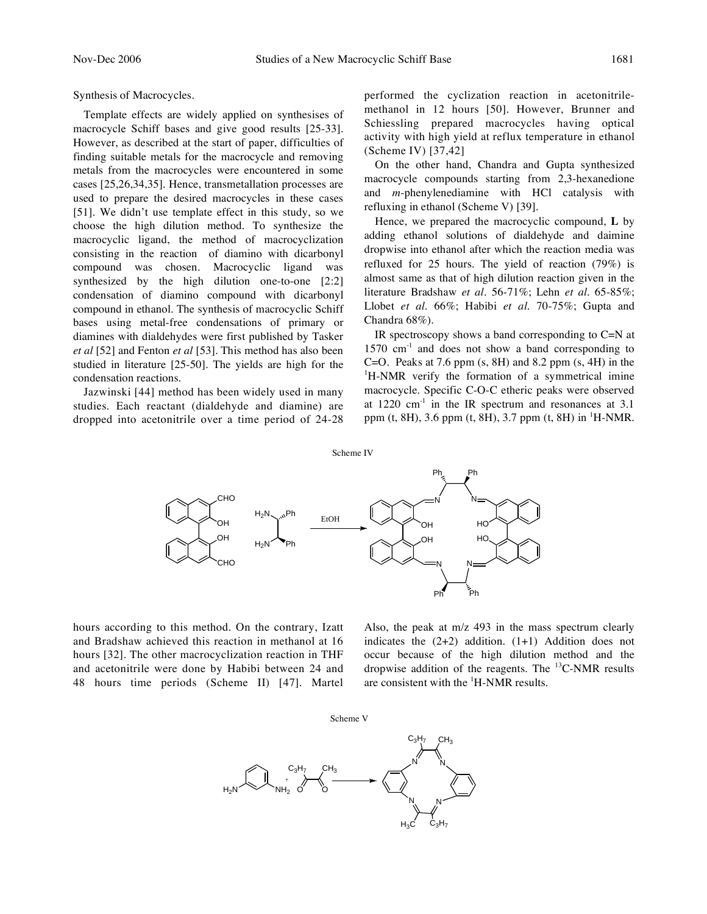# Synthesis of Macrocycles.

Template effects are widely applied on synthesises of macrocycle Schiff bases and give good results [25-33]. However, as described at the start of paper, difficulties of finding suitable metals for the macrocycle and removing metals from the macrocycles were encountered in some cases [25,26,34,35]. Hence, transmetallation processes are used to prepare the desired macrocycles in these cases [51]. We didn't use template effect in this study, so we choose the high dilution method. To synthesize the macrocyclic ligand, the method of macrocyclization consisting in the reaction of diamino with dicarbonyl compound was chosen. Macrocyclic ligand was synthesized by the high dilution one-to-one [2:2] condensation of diamino compound with dicarbonyl compound in ethanol. The synthesis of macrocyclic Schiff bases using metal-free condensations of primary or diamines with dialdehydes were first published by Tasker *et al* [52] and Fenton *et al* [53]. This method has also been studied in literature [25-50]. The yields are high for the condensation reactions.

Jazwinski [44] method has been widely used in many studies. Each reactant (dialdehyde and diamine) are dropped into acetonitrile over a time period of 24-28

performed the cyclization reaction in acetonitrilemethanol in 12 hours [50]. However, Brunner and Schiessling prepared macrocycles having optical activity with high yield at reflux temperature in ethanol (Scheme IV) [37,42]

On the other hand, Chandra and Gupta synthesized macrocycle compounds starting from 2,3-hexanedione and *m*-phenylenediamine with HCl catalysis with refluxing in ethanol (Scheme V) [39].

Hence, we prepared the macrocyclic compound, **L** by adding ethanol solutions of dialdehyde and daimine dropwise into ethanol after which the reaction media was refluxed for 25 hours. The yield of reaction (79%) is almost same as that of high dilution reaction given in the literature Bradshaw *et al*. 56-71%; Lehn *et al*. 65-85%; Llobet *et al*. 66%; Habibi *et al*. 70-75%; Gupta and Chandra 68%).

IR spectroscopy shows a band corresponding to  $C=N$  at  $1570 \text{ cm}^{-1}$  and does not show a band corresponding to C=O. Peaks at  $7.6$  ppm  $(s, 8H)$  and  $8.2$  ppm  $(s, 4H)$  in the <sup>1</sup>H-NMR verify the formation of a symmetrical imine macrocycle. Specific C-O-C etheric peaks were observed at  $1220 \text{ cm}^{-1}$  in the IR spectrum and resonances at 3.1 ppm (t, 8H), 3.6 ppm (t, 8H), 3.7 ppm (t, 8H) in <sup>1</sup>H-NMR.

#### Scheme IV



hours according to this method. On the contrary, Izatt and Bradshaw achieved this reaction in methanol at 16 hours [32]. The other macrocyclization reaction in THF and acetonitrile were done by Habibi between 24 and 48 hours time periods (Scheme II) [47]. Martel

Also, the peak at m/z 493 in the mass spectrum clearly indicates the  $(2+2)$  addition.  $(1+1)$  Addition does not occur because of the high dilution method and the dropwise addition of the reagents. The  $^{13}$ C-NMR results are consistent with the  ${}^{1}H-MR$  results.

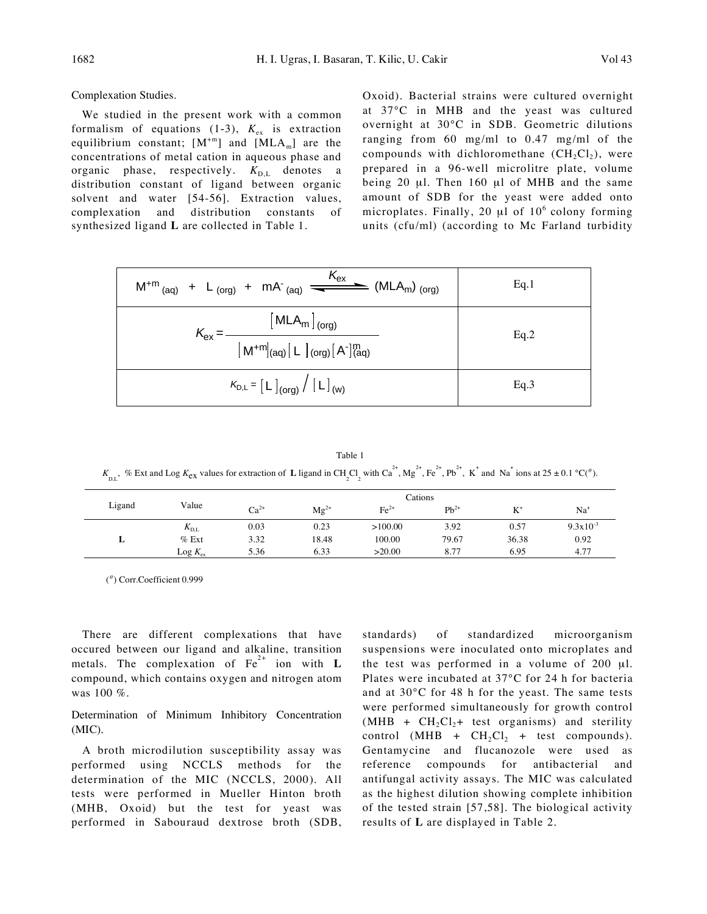Complexation Studies.

We studied in the present work with a common formalism of equations (1-3),  $K_{ex}$  is extraction equilibrium constant;  $[M^{+m}]$  and  $[MLA_m]$  are the concentrations of metal cation in aqueous phase and organic phase, respectively.  $K_{D,L}$  denotes a distribution constant of ligand between organic solvent and water [54-56]. Extraction values, complexation and distribution constants of synthesized ligand **L** are collected in Table 1.

Oxoid). Bacterial strains were cultured overnight at 37°C in MHB and the yeast was cultured overnight at 30°C in SDB. Geometric dilutions ranging from 60 mg/ml to 0.47 mg/ml of the compounds with dichloromethane  $(CH_2Cl_2)$ , were prepared in a 96-well microlitre plate, volume being 20 μl. Then 160 μl of MHB and the same amount of SDB for the yeast were added onto microplates. Finally, 20  $\mu$ l of 10<sup>6</sup> colony forming units (cfu/ml) (according to Mc Farland turbidity

| $M^{+m}$ <sub>(aq)</sub> + L <sub>(org)</sub> + mA <sup>-</sup> <sub>(aq)</sub> $\frac{K_{ex}}{K_{ex}}$ (MLA <sub>m</sub> ) <sub>(org)</sub> | Eq.1 |
|----------------------------------------------------------------------------------------------------------------------------------------------|------|
| $\left[\,\mathsf{MLA}_{\mathsf{m}}\,\right]_{(\mathsf{org})}$<br>$\mathsf{K}_{\mathsf{ex}}$<br>$[M^{+m}]_{(aq)}[L]_{(org)}[A']_{(aq)}^{m}$   | Eq.2 |
| $K_{D,L} = \left[ L \right]_{\text{(org)}} / \left[ L \right]_{\text{(w)}}$                                                                  | Eq.3 |

Table 1  $K_{\text{D,L}}$ , % Ext and Log  $K_{\text{ex}}$  values for extraction of **L** ligand in CH<sub>2</sub>Cl<sub>2</sub> with Ca<sup>2+</sup>, Mg<sup>2+</sup>, Fe<sup>2+</sup>, Pb<sup>2+</sup>, K<sup>+</sup> and Na<sup>+</sup> ions at 25 ± 0.1 °C(<sup> $\theta$ </sup>).

| Ligand |               |           |           | Cations |           |       |                      |
|--------|---------------|-----------|-----------|---------|-----------|-------|----------------------|
|        | Value         | $Ca^{2+}$ | $Mg^{2+}$ | $Fe2+$  | $Pb^{2+}$ | $K^*$ | Na <sup>+</sup>      |
| ┻      | $K_{\rm D,L}$ | 0.03      | 0.23      | >100.00 | 3.92      | 0.57  | $9.3 \times 10^{-3}$ |
|        | $%$ Ext       | 3.32      | 18.48     | 100.00  | 79.67     | 36.38 | 0.92                 |
|        | $Log K_{ex}$  | 5.36      | 6.33      | >20.00  | 8.77      | 6.95  | 4.77                 |

 $($ <sup> $\theta$ </sup>) Corr.Coefficient 0.999

There are different complexations that have occured between our ligand and alkaline, transition metals. The complexation of  $Fe<sup>2+</sup>$  ion with **L** compound, which contains oxygen and nitrogen atom was 100 %.

Determination of Minimum Inhibitory Concentration (MIC).

A broth microdilution susceptibility assay was performed using NCCLS methods for the determination of the MIC (NCCLS, 2000). All tests were performed in Mueller Hinton broth (MHB, Oxoid) but the test for yeast was performed in Sabouraud dextrose broth (SDB,

standards) of standardized microorganism suspensions were inoculated onto microplates and the test was performed in a volume of 200 μl. Plates were incubated at 37°C for 24 h for bacteria and at 30°C for 48 h for the yeast. The same tests were performed simultaneously for growth control  $(MHB + CH<sub>2</sub>Cl<sub>2</sub> + test organisms)$  and sterility control (MHB +  $CH_2Cl_2$  + test compounds). Gentamycine and flucanozole were used as reference compounds for antibacterial and antifungal activity assays. The MIC was calculated as the highest dilution showing complete inhibition of the tested strain [57,58]. The biological activity results of **L** are displayed in Table 2.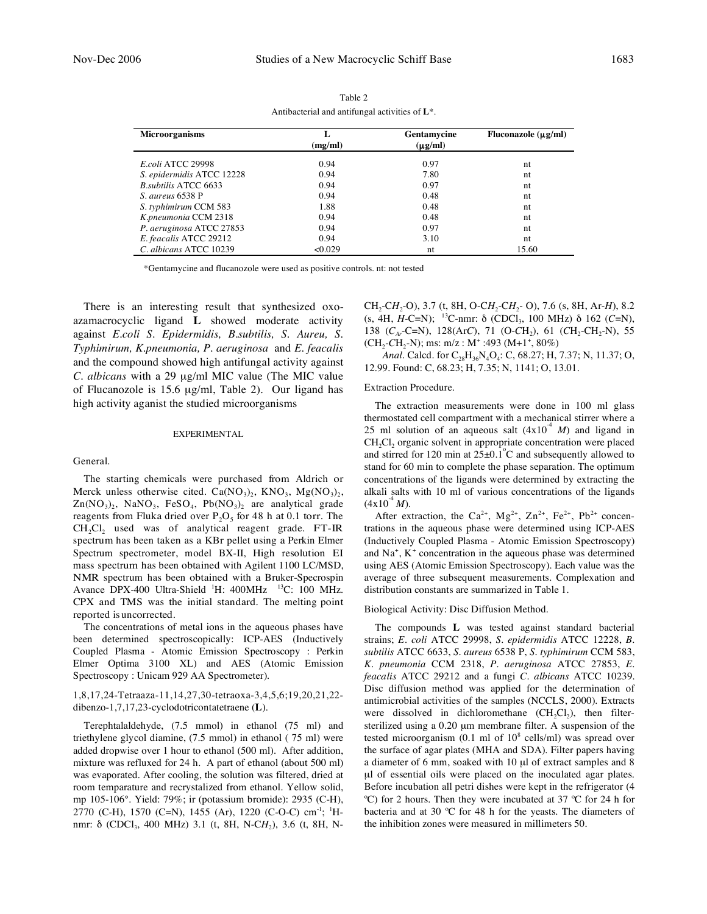| <b>Microorganisms</b>        |         | Gentamycine  | Fluconazole $(\mu g/ml)$ |  |  |  |
|------------------------------|---------|--------------|--------------------------|--|--|--|
|                              | (mg/ml) | $(\mu g/ml)$ |                          |  |  |  |
| E.coli ATCC 29998            | 0.94    | 0.97         | nt                       |  |  |  |
| S. epidermidis ATCC 12228    | 0.94    | 7.80         | nt                       |  |  |  |
| <i>B. subtilis ATCC 6633</i> | 0.94    | 0.97         | nt                       |  |  |  |
| <i>S. aureus</i> 6538 P      | 0.94    | 0.48         | nt                       |  |  |  |
| S. typhimirum CCM 583        | 1.88    | 0.48         | nt                       |  |  |  |
| K.pneumonia CCM 2318         | 0.94    | 0.48         | nt                       |  |  |  |
| P. aeruginosa ATCC 27853     | 0.94    | 0.97         | nt                       |  |  |  |
| E. feacalis ATCC 29212       | 0.94    | 3.10         | nt                       |  |  |  |
| C. albicans ATCC 10239       | < 0.029 | nt           | 15.60                    |  |  |  |

Table 2 Antibacterial and antifungal activities of **L**\*.

\*Gentamycine and flucanozole were used as positive controls. nt: not tested

There is an interesting result that synthesized oxoazamacrocyclic ligand **L** showed moderate activity against *E.coli S. Epidermidis, B.subtilis, S. Aureu, S. Typhimirum, K.pneumonia, P. aeruginosa* and *E. feacalis*  and the compound showed high antifungal activity against *C. albicans* with a 29 μg/ml MIC value (The MIC value of Flucanozole is 15.6 μg/ml, Table 2).Our ligand has high activity aganist the studied microorganisms

## EXPERIMENTAL

## General.

The starting chemicals were purchased from Aldrich or Merck unless otherwise cited.  $Ca(NO<sub>3</sub>)<sub>2</sub>$ ,  $KNO<sub>3</sub>$ ,  $Mg(NO<sub>3</sub>)<sub>2</sub>$ ,  $Zn(NO<sub>3</sub>)<sub>2</sub>$ , NaNO<sub>3</sub>, FeSO<sub>4</sub>, Pb(NO<sub>3</sub>)<sub>2</sub> are analytical grade reagents from Fluka dried over  $P_2O_5$  for 48 h at 0.1 torr. The  $CH_2Cl$ <sub>2</sub> used was of analytical reagent grade. FT-IR spectrum has been taken as a KBr pellet using a Perkin Elmer Spectrum spectrometer, model BX-II, High resolution EI mass spectrum has been obtained with Agilent 1100 LC/MSD, NMR spectrum has been obtained with a Bruker-Specrospin Avance DPX-400 Ultra-Shield  $^1$ H: 400MHz  $^13$ C: 100 MHz. CPX and TMS was the initial standard. The melting point reported is uncorrected.

The concentrations of metal ions in the aqueous phases have been determined spectroscopically: ICP-AES (Inductively Coupled Plasma - Atomic Emission Spectroscopy : Perkin Elmer Optima 3100 XL) and AES (Atomic Emission Spectroscopy : Unicam 929 AA Spectrometer).

## 1,8,17,24-Tetraaza-11,14,27,30-tetraoxa-3,4,5,6;19,20,21,22 dibenzo-1,7,17,23-cyclodotricontatetraene (**L**).

Terephtalaldehyde, (7.5 mmol) in ethanol (75 ml) and triethylene glycol diamine, (7.5 mmol) in ethanol ( 75 ml) were added dropwise over 1 hour to ethanol (500 ml). After addition, mixture was refluxed for 24 h. A part of ethanol (about 500 ml) was evaporated. After cooling, the solution was filtered, dried at room temparature and recrystalized from ethanol. Yellow solid, mp 105-106°. Yield: 79%; ir (potassium bromide): 2935 (C-H), 2770 (C-H), 1570 (C=N), 1455 (Ar), 1220 (C-O-C) cm-1; 1 Hnmr: δ (CDCl<sub>3</sub>, 400 MHz) 3.1 (t, 8H, N-CH<sub>2</sub>), 3.6 (t, 8H, N-

CH2-C*H*2-O), 3.7 (t, 8H, O-C*H*2-C*H*2- O), 7.6 (s, 8H, Ar-*H*), 8.2 (s, 4H,  $H$ -C=N); <sup>13</sup>C-nmr:  $\delta$  (CDCl<sub>3</sub>, 100 MHz)  $\delta$  162 (*C*=N), 138 (*C<sub>Ar</sub>*-C=N), 128(Ar*C*), 71 (O-*C*H<sub>2</sub>), 61 (*C*H<sub>2</sub>-CH<sub>2</sub>-N), 55  $(CH_2\text{-}CH_2\text{-}N)$ ; ms: m/z : M<sup>+</sup> :493 (M+1<sup>+</sup>, 80%)

*Anal.* Calcd. for C<sub>28</sub>H<sub>36</sub>N<sub>4</sub>O<sub>4</sub>: C, 68.27; H, 7.37; N, 11.37; O, 12.99. Found: C, 68.23; H, 7.35; N, 1141; O, 13.01.

## Extraction Procedure.

The extraction measurements were done in 100 ml glass thermostated cell compartment with a mechanical stirrer where a 25 ml solution of an aqueous salt  $(4x10<sup>4</sup> M)$  and ligand in CH<sub>2</sub>Cl<sub>2</sub> organic solvent in appropriate concentration were placed and stirred for 120 min at  $25\pm0.1^{\circ}$ C and subsequently allowed to stand for 60 min to complete the phase separation. The optimum concentrations of the ligands were determined by extracting the alkali salts with 10 ml of various concentrations of the ligands  $(4x10<sup>-4</sup> M).$ 

After extraction, the Ca<sup>2+</sup>, Mg<sup>2+</sup>, Zn<sup>2+</sup>, Fe<sup>2+</sup>, Pb<sup>2+</sup> concentrations in the aqueous phase were determined using ICP-AES (Inductively Coupled Plasma - Atomic Emission Spectroscopy) and  $Na<sup>+</sup>$ ,  $K<sup>+</sup>$  concentration in the aqueous phase was determined using AES (Atomic Emission Spectroscopy). Each value was the average of three subsequent measurements. Complexation and distribution constants are summarized in Table 1.

### Biological Activity: Disc Diffusion Method.

The compounds **L** was tested against standard bacterial strains; *E. coli* ATCC 29998, *S. epidermidis* ATCC 12228, *B. subtilis* ATCC 6633, *S. aureus* 6538 P, *S. typhimirum* CCM 583, *K. pneumonia* CCM 2318, *P. aeruginosa* ATCC 27853, *E. feacalis* ATCC 29212 and a fungi *C. albicans* ATCC 10239. Disc diffusion method was applied for the determination of antimicrobial activities of the samples (NCCLS, 2000). Extracts were dissolved in dichloromethane  $(CH_2Cl_2)$ , then filtersterilized using a 0.20 μm membrane filter. A suspension of the tested microorganism (0.1 ml of  $10^8$  cells/ml) was spread over the surface of agar plates (MHA and SDA). Filter papers having a diameter of 6 mm, soaked with 10 μl of extract samples and 8 μl of essential oils were placed on the inoculated agar plates. Before incubation all petri dishes were kept in the refrigerator (4 ºC) for 2 hours. Then they were incubated at 37 ºC for 24 h for bacteria and at 30 ºC for 48 h for the yeasts. The diameters of the inhibition zones were measured in millimeters 50.